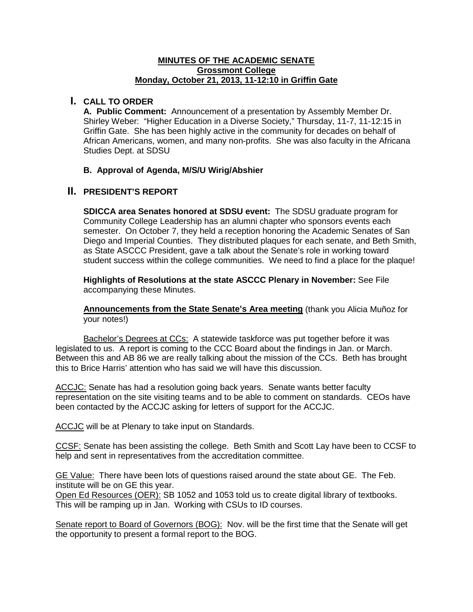#### **MINUTES OF THE ACADEMIC SENATE Grossmont College Monday, October 21, 2013, 11-12:10 in Griffin Gate**

### **I. CALL TO ORDER**

**A. Public Comment:** Announcement of a presentation by Assembly Member Dr. Shirley Weber: "Higher Education in a Diverse Society," Thursday, 11-7, 11-12:15 in Griffin Gate. She has been highly active in the community for decades on behalf of African Americans, women, and many non-profits. She was also faculty in the Africana Studies Dept. at SDSU

#### **B. Approval of Agenda, M/S/U Wirig/Abshier**

# **II. PRESIDENT'S REPORT**

**SDICCA area Senates honored at SDSU event:** The SDSU graduate program for Community College Leadership has an alumni chapter who sponsors events each semester. On October 7, they held a reception honoring the Academic Senates of San Diego and Imperial Counties. They distributed plaques for each senate, and Beth Smith, as State ASCCC President, gave a talk about the Senate's role in working toward student success within the college communities. We need to find a place for the plaque!

**Highlights of Resolutions at the state ASCCC Plenary in November:** See File accompanying these Minutes.

**Announcements from the State Senate's Area meeting** (thank you Alicia Muñoz for your notes!)

Bachelor's Degrees at CCs: A statewide taskforce was put together before it was legislated to us. A report is coming to the CCC Board about the findings in Jan. or March. Between this and AB 86 we are really talking about the mission of the CCs. Beth has brought this to Brice Harris' attention who has said we will have this discussion.

ACCJC: Senate has had a resolution going back years. Senate wants better faculty representation on the site visiting teams and to be able to comment on standards. CEOs have been contacted by the ACCJC asking for letters of support for the ACCJC.

ACCJC will be at Plenary to take input on Standards.

CCSF: Senate has been assisting the college. Beth Smith and Scott Lay have been to CCSF to help and sent in representatives from the accreditation committee.

GE Value: There have been lots of questions raised around the state about GE. The Feb. institute will be on GE this year.

Open Ed Resources (OER): SB 1052 and 1053 told us to create digital library of textbooks. This will be ramping up in Jan. Working with CSUs to ID courses.

Senate report to Board of Governors (BOG): Nov. will be the first time that the Senate will get the opportunity to present a formal report to the BOG.